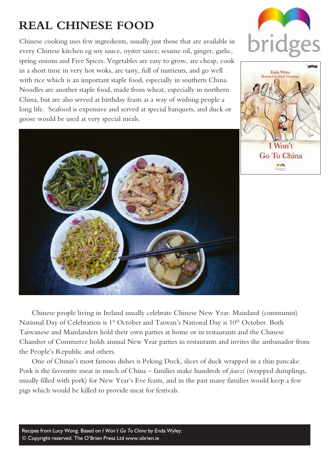# **REAL CHINESE FOOD**

Chinese cooking uses few ingredients, usually just those that are available in every Chinese kitchen eg soy sauce, oyster sauce, sesame oil, ginger, garlic, spring onions and Five Spices. Vegetables are easy to grow, are cheap, cook in a short time in very hot woks, are tasty, full of nutrients, and go well with rice which is an important staple food, especially in southern China. Noodles are another staple food, made from wheat, especially in northern China, but are also served at birthday feasts as a way of wishing people a long life. Seafood is expensive and served at special banquets, and duck or goose would be used at very special meals.



 $I$  Won't Go To China



Chinese people living in Ireland usually celebrate Chinese New Year. Mainland (communist) National Day of Celebration is 1<sup>st</sup> October and Taiwan's National Day is 10<sup>th</sup> October. Both Taiwanese and Mainlanders hold their own parties at home or in restaurants and the Chinese Chamber of Commerce holds annual New Year parties in restaurants and invites the ambassador from the People's Republic and others.

One of Chinas's most famous dishes is Peking Duck, slices of duck wrapped in a thin pancake. Pork is the favourite meat in much of China – families make hundreds of *jiaozi* (wrapped dumplings, usually filled with pork) for New Year's Eve feasts, and in the past many families would keep a few pigs which would be killed to provide meat for festivals.